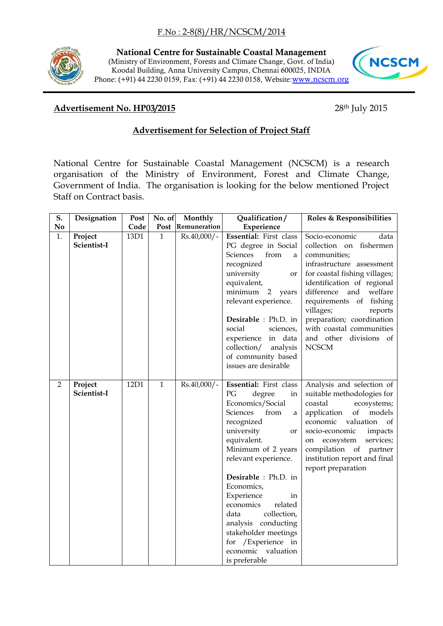

**National Centre for Sustainable Coastal Management** (Ministry of Environment, Forests and Climate Change, Govt. of India) Koodal Building, Anna University Campus, Chennai 600025, INDIA Phone: (+91) 44 2230 0159, Fax: (+91) 44 2230 0158, Website:[www.ncscm.org](http://www.ncscm.org/)



## **Advertisement No. HP03/2015** 28th July 2015

## **Advertisement for Selection of Project Staff**

National Centre for Sustainable Coastal Management (NCSCM) is a research organisation of the Ministry of Environment, Forest and Climate Change, Government of India. The organisation is looking for the below mentioned Project Staff on Contract basis.

| S.             | Designation            | Post | No. of       | Monthly       | Qualification/                                                                                                                                                                                                                                                                                                                                                                                                       | Roles & Responsibilities                                                                                                                                                                                                                                                                                                                            |
|----------------|------------------------|------|--------------|---------------|----------------------------------------------------------------------------------------------------------------------------------------------------------------------------------------------------------------------------------------------------------------------------------------------------------------------------------------------------------------------------------------------------------------------|-----------------------------------------------------------------------------------------------------------------------------------------------------------------------------------------------------------------------------------------------------------------------------------------------------------------------------------------------------|
| N <sub>o</sub> |                        | Code | Post         | Remuneration  | Experience                                                                                                                                                                                                                                                                                                                                                                                                           |                                                                                                                                                                                                                                                                                                                                                     |
| 1.             | Project<br>Scientist-I | 13D1 | $\mathbf{1}$ | $Rs.40,000/-$ | Essential: First class<br>PG degree in Social<br>Sciences<br>from<br>a<br>recognized<br>university<br>or<br>equivalent,<br>minimum<br>$\overline{2}$<br>years<br>relevant experience.<br>Desirable : Ph.D. in<br>social<br>sciences,<br>experience in data<br>collection/<br>analysis<br>of community based<br>issues are desirable                                                                                  | Socio-economic<br>data<br>collection on fishermen<br>communities;<br>infrastructure assessment<br>for coastal fishing villages;<br>identification of regional<br>difference<br>welfare<br>and<br>requirements of fishing<br>villages;<br>reports<br>preparation; coordination<br>with coastal communities<br>and other divisions of<br><b>NCSCM</b> |
| 2              | Project<br>Scientist-I | 12D1 | $\mathbf{1}$ | $Rs.40,000/-$ | Essential: First class<br>PG<br>degree<br>in<br>Economics/Social<br><b>Sciences</b><br>from<br>a<br>recognized<br>university<br>or<br>equivalent.<br>Minimum of 2 years<br>relevant experience.<br>Desirable : Ph.D. in<br>Economics,<br>Experience<br>in<br>economics<br>related<br>data<br>collection,<br>analysis conducting<br>stakeholder meetings<br>for /Experience in<br>economic valuation<br>is preferable | Analysis and selection of<br>suitable methodologies for<br>coastal<br>ecosystems;<br>of<br>application<br>models<br>economic<br>valuation<br>of<br>socio-economic<br>impacts<br>ecosystem<br>services;<br>on<br>compilation of<br>partner<br>institution report and final<br>report preparation                                                     |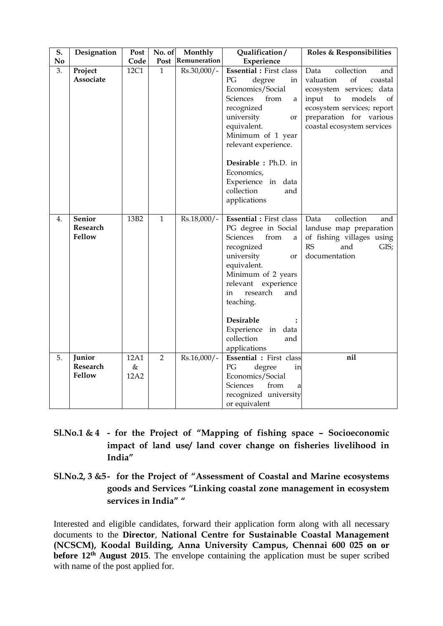| S.             | Designation                                | Post                 | No. of         | Monthly           | Qualification/                                                                                                                                                                                                                                                                                   | Roles & Responsibilities                                                                                                                                                                                  |
|----------------|--------------------------------------------|----------------------|----------------|-------------------|--------------------------------------------------------------------------------------------------------------------------------------------------------------------------------------------------------------------------------------------------------------------------------------------------|-----------------------------------------------------------------------------------------------------------------------------------------------------------------------------------------------------------|
| N <sub>o</sub> |                                            | Code                 |                | Post Remuneration | Experience                                                                                                                                                                                                                                                                                       |                                                                                                                                                                                                           |
| 3.             | Project<br>Associate                       | 12C1                 | 1              | Rs.30,000/-       | <b>Essential</b> : First class<br>PG<br>degree<br>in<br>Economics/Social<br>Sciences<br>from<br>a<br>recognized<br>university<br>or<br>equivalent.<br>Minimum of 1 year<br>relevant experience.<br>Desirable : Ph.D. in<br>Economics,<br>Experience in data<br>collection<br>and<br>applications | collection<br>Data<br>and<br>of<br>valuation<br>coastal<br>ecosystem services; data<br>input<br>to<br>models<br>of<br>ecosystem services; report<br>preparation for various<br>coastal ecosystem services |
| 4.             | <b>Senior</b><br>Research<br><b>Fellow</b> | 13B <sub>2</sub>     | $\mathbf{1}$   | Rs.18,000/-       | <b>Essential</b> : First class<br>PG degree in Social<br>from<br>Sciences<br>a<br>recognized<br>university<br>or<br>equivalent.<br>Minimum of 2 years<br>relevant<br>experience<br>in<br>research<br>and<br>teaching.<br>Desirable<br>Experience in data<br>collection<br>and<br>applications    | collection<br>Data<br>and<br>landuse map preparation<br>of fishing villages using<br>RS<br>and<br>GIS;<br>documentation                                                                                   |
| 5.             | Junior<br>Research<br>Fellow               | 12A1<br>$\&$<br>12A2 | $\overline{2}$ | $Rs.16,000/-$     | Essential : First class<br>PG<br>degree<br>in<br>Economics/Social<br>Sciences<br>from<br>a<br>recognized university<br>or equivalent                                                                                                                                                             | nil                                                                                                                                                                                                       |

- **Sl.No.1 & 4 - for the Project of "Mapping of fishing space – Socioeconomic impact of land use/ land cover change on fisheries livelihood in India"**
- **Sl.No.2, 3 &5- for the Project of "Assessment of Coastal and Marine ecosystems goods and Services "Linking coastal zone management in ecosystem services in India" "**

Interested and eligible candidates, forward their application form along with all necessary documents to the **Director**, **National Centre for Sustainable Coastal Management (NCSCM), Koodal Building, Anna University Campus, Chennai 600 025 on or before 12<sup>th</sup> August 2015**. The envelope containing the application must be super scribed with name of the post applied for.